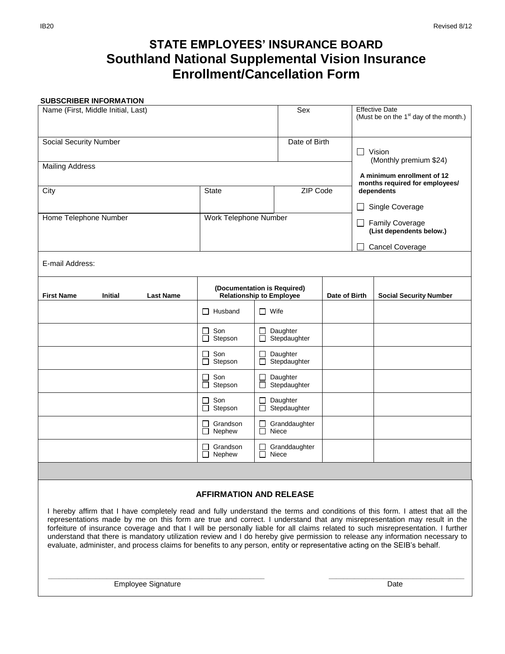# **STATE EMPLOYEES' INSURANCE BOARD Southland National Supplemental Vision Insurance Enrollment/Cancellation Form**

#### **SUBSCRIBER INFORMATION**

| Name (First, Middle Initial, Last)                                                                                                                                                                                                                                                                                                                                                                                                                                                                                             |                                                                |                                    | Sex                    |               |                                                                                        | <b>Effective Date</b><br>(Must be on the 1 <sup>st</sup> day of the month.) |
|--------------------------------------------------------------------------------------------------------------------------------------------------------------------------------------------------------------------------------------------------------------------------------------------------------------------------------------------------------------------------------------------------------------------------------------------------------------------------------------------------------------------------------|----------------------------------------------------------------|------------------------------------|------------------------|---------------|----------------------------------------------------------------------------------------|-----------------------------------------------------------------------------|
| <b>Social Security Number</b>                                                                                                                                                                                                                                                                                                                                                                                                                                                                                                  |                                                                |                                    | Date of Birth          |               | Vision                                                                                 |                                                                             |
| <b>Mailing Address</b>                                                                                                                                                                                                                                                                                                                                                                                                                                                                                                         |                                                                |                                    |                        |               | (Monthly premium \$24)<br>A minimum enrollment of 12<br>months required for employees/ |                                                                             |
| City                                                                                                                                                                                                                                                                                                                                                                                                                                                                                                                           | <b>State</b>                                                   |                                    | ZIP Code               |               | dependents                                                                             |                                                                             |
|                                                                                                                                                                                                                                                                                                                                                                                                                                                                                                                                |                                                                |                                    |                        |               | Single Coverage<br><b>Family Coverage</b><br>(List dependents below.)                  |                                                                             |
| Home Telephone Number                                                                                                                                                                                                                                                                                                                                                                                                                                                                                                          | Work Telephone Number                                          |                                    |                        |               |                                                                                        |                                                                             |
|                                                                                                                                                                                                                                                                                                                                                                                                                                                                                                                                |                                                                |                                    |                        |               | <b>Cancel Coverage</b>                                                                 |                                                                             |
| E-mail Address:                                                                                                                                                                                                                                                                                                                                                                                                                                                                                                                |                                                                |                                    |                        |               |                                                                                        |                                                                             |
| <b>First Name</b><br><b>Initial</b><br><b>Last Name</b>                                                                                                                                                                                                                                                                                                                                                                                                                                                                        | (Documentation is Required)<br><b>Relationship to Employee</b> |                                    |                        | Date of Birth |                                                                                        | <b>Social Security Number</b>                                               |
|                                                                                                                                                                                                                                                                                                                                                                                                                                                                                                                                | $\Box$ Husband                                                 | $\Box$ Wife                        |                        |               |                                                                                        |                                                                             |
|                                                                                                                                                                                                                                                                                                                                                                                                                                                                                                                                | Son<br>П<br>$\Box$<br>Stepson                                  | Daughter<br>$\Box$<br>Stepdaughter |                        |               |                                                                                        |                                                                             |
|                                                                                                                                                                                                                                                                                                                                                                                                                                                                                                                                | Son<br>П<br>Stepson<br>П                                       | Daughter<br>Stepdaughter           |                        |               |                                                                                        |                                                                             |
|                                                                                                                                                                                                                                                                                                                                                                                                                                                                                                                                | Son<br>П<br>Stepson<br>П                                       | Daughter<br>Stepdaughter<br>□      |                        |               |                                                                                        |                                                                             |
|                                                                                                                                                                                                                                                                                                                                                                                                                                                                                                                                | Son<br>П<br>Stepson<br>ப                                       | Daughter<br>Stepdaughter           |                        |               |                                                                                        |                                                                             |
|                                                                                                                                                                                                                                                                                                                                                                                                                                                                                                                                | Grandson<br>П<br>Nephew                                        | П                                  | Granddaughter<br>Niece |               |                                                                                        |                                                                             |
|                                                                                                                                                                                                                                                                                                                                                                                                                                                                                                                                | Grandson<br>$\perp$<br>П.<br>Nephew                            | П                                  | Granddaughter<br>Niece |               |                                                                                        |                                                                             |
|                                                                                                                                                                                                                                                                                                                                                                                                                                                                                                                                |                                                                |                                    |                        |               |                                                                                        |                                                                             |
| <b>AFFIRMATION AND RELEASE</b>                                                                                                                                                                                                                                                                                                                                                                                                                                                                                                 |                                                                |                                    |                        |               |                                                                                        |                                                                             |
| I hereby affirm that I have completely read and fully understand the terms and conditions of this form. I attest that all the<br>representations made by me on this form are true and correct. I understand that any misrepresentation may result in the<br>forfeiture of insurance coverage and that I will be personally liable for all claims related to such misrepresentation. I further<br>understand that there is mandatory utilization review and I do hereby give permission to release any information necessary to |                                                                |                                    |                        |               |                                                                                        |                                                                             |

evaluate, administer, and process claims for benefits to any person, entity or representative acting on the SEIB's behalf.

 **\_\_\_\_\_\_\_\_\_\_\_\_\_\_\_\_\_\_\_\_\_\_\_\_\_\_\_\_\_\_\_\_\_\_\_\_\_\_\_\_\_\_\_\_\_\_\_\_\_\_\_\_\_\_\_\_\_\_\_ \_\_\_\_\_\_\_\_\_\_\_\_\_\_\_\_\_\_\_\_\_\_\_\_\_\_\_\_\_\_\_\_\_\_\_\_\_**